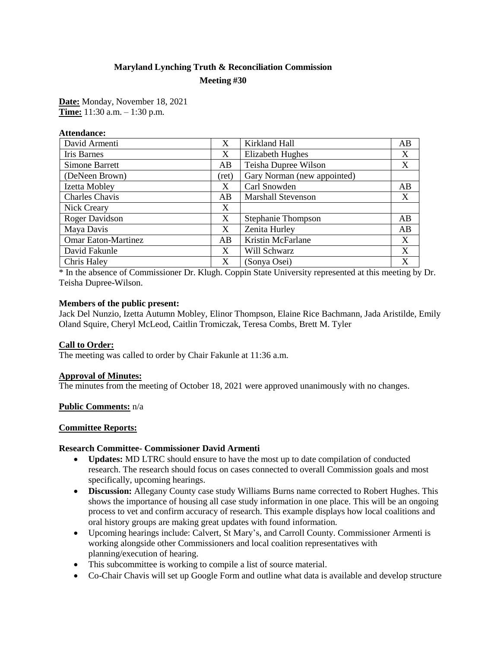# **Maryland Lynching Truth & Reconciliation Commission Meeting #30**

**Date:** Monday, November 18, 2021 **Time:** 11:30 a.m. – 1:30 p.m.

**Attendance:**

| David Armenti              | X     | Kirkland Hall               | AB |
|----------------------------|-------|-----------------------------|----|
| Iris Barnes                | X     | <b>Elizabeth Hughes</b>     | X  |
| <b>Simone Barrett</b>      | AB    | Teisha Dupree Wilson        | X  |
| (DeNeen Brown)             | (ret) | Gary Norman (new appointed) |    |
| Izetta Mobley              | X     | Carl Snowden                | AB |
| <b>Charles Chavis</b>      | AB    | <b>Marshall Stevenson</b>   | X  |
| Nick Creary                | X     |                             |    |
| Roger Davidson             | X     | <b>Stephanie Thompson</b>   | AB |
| Maya Davis                 | X     | Zenita Hurley               | AB |
| <b>Omar Eaton-Martinez</b> | AB    | Kristin McFarlane           | X  |
| David Fakunle              | X     | Will Schwarz                | X  |
| Chris Haley                | X     | (Sonya Osei)                | X  |

\* In the absence of Commissioner Dr. Klugh. Coppin State University represented at this meeting by Dr. Teisha Dupree-Wilson.

### **Members of the public present:**

Jack Del Nunzio, Izetta Autumn Mobley, Elinor Thompson, Elaine Rice Bachmann, Jada Aristilde, Emily Oland Squire, Cheryl McLeod, Caitlin Tromiczak, Teresa Combs, Brett M. Tyler

#### **Call to Order:**

The meeting was called to order by Chair Fakunle at 11:36 a.m.

#### **Approval of Minutes:**

The minutes from the meeting of October 18, 2021 were approved unanimously with no changes.

#### **Public Comments:** n/a

### **Committee Reports:**

#### **Research Committee- Commissioner David Armenti**

- **Updates:** MD LTRC should ensure to have the most up to date compilation of conducted research. The research should focus on cases connected to overall Commission goals and most specifically, upcoming hearings.
- **Discussion:** Allegany County case study Williams Burns name corrected to Robert Hughes. This shows the importance of housing all case study information in one place. This will be an ongoing process to vet and confirm accuracy of research. This example displays how local coalitions and oral history groups are making great updates with found information.
- Upcoming hearings include: Calvert, St Mary's, and Carroll County. Commissioner Armenti is working alongside other Commissioners and local coalition representatives with planning/execution of hearing.
- This subcommittee is working to compile a list of source material.
- Co-Chair Chavis will set up Google Form and outline what data is available and develop structure